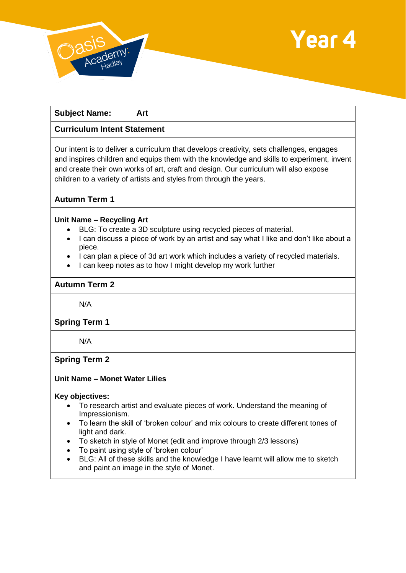



| <b>Subject Name:</b>                                                                                                                                                                                                                                                                                                                                 | Art |
|------------------------------------------------------------------------------------------------------------------------------------------------------------------------------------------------------------------------------------------------------------------------------------------------------------------------------------------------------|-----|
| <b>Curriculum Intent Statement</b>                                                                                                                                                                                                                                                                                                                   |     |
| Our intent is to deliver a curriculum that develops creativity, sets challenges, engages<br>and inspires children and equips them with the knowledge and skills to experiment, invent<br>and create their own works of art, craft and design. Our curriculum will also expose<br>children to a variety of artists and styles from through the years. |     |

## **Autumn Term 1**

#### **Unit Name – Recycling Art**

- BLG: To create a 3D sculpture using recycled pieces of material.
- I can discuss a piece of work by an artist and say what I like and don't like about a piece.
- I can plan a piece of 3d art work which includes a variety of recycled materials.
- I can keep notes as to how I might develop my work further

# **Autumn Term 2**

N/A

### **Spring Term 1**

N/A

## **Spring Term 2**

### **Unit Name – Monet Water Lilies**

#### **Key objectives:**

- To research artist and evaluate pieces of work. Understand the meaning of Impressionism.
- To learn the skill of 'broken colour' and mix colours to create different tones of light and dark.
- To sketch in style of Monet (edit and improve through 2/3 lessons)
- To paint using style of 'broken colour'
- BLG: All of these skills and the knowledge I have learnt will allow me to sketch and paint an image in the style of Monet.